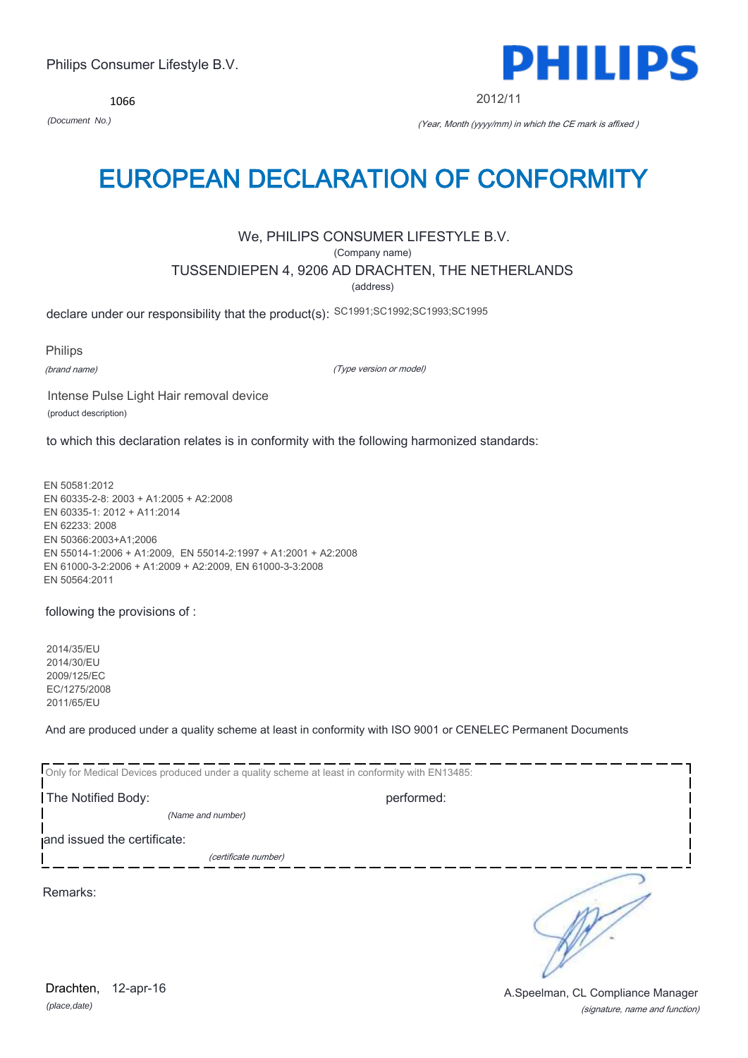(signature, name and function) Drachten, 12-apr-16 **Drachten**, 12-apr-16

1066

# EUROPEAN DECLARATION OF CONFORMITY

## We, PHILIPS CONSUMER LIFESTYLE B.V.

(Company name)

## TUSSENDIEPEN 4, 9206 AD DRACHTEN, THE NETHERLANDS

(address)

declare under our responsibility that the product(s): SC1991;SC1992;SC1993;SC1995

Philips

(brand name)

(Type version or model)

Intense Pulse Light Hair removal device (product description)

to which this declaration relates is in conformity with the following harmonized standards:

EN 50581:2012 EN 60335-2-8: 2003 + A1:2005 + A2:2008 EN 60335-1: 2012 + A11:2014 EN 62233: 2008 EN 50366:2003+A1;2006 EN 55014-1:2006 + A1:2009, EN 55014-2:1997 + A1:2001 + A2:2008 EN 61000-3-2:2006 + A1:2009 + A2:2009, EN 61000-3-3:2008 EN 50564:2011

following the provisions of :

2014/35/EU 2014/30/EU 2009/125/EC EC/1275/2008 2011/65/EU

And are produced under a quality scheme at least in conformity with ISO 9001 or CENELEC Permanent Documents

| Only for Medical Devices produced under a quality scheme at least in conformity with EN13485: |            |  |
|-----------------------------------------------------------------------------------------------|------------|--|
| The Notified Body:                                                                            | performed: |  |
| (Name and number)                                                                             |            |  |
| and issued the certificate:                                                                   |            |  |
| (certificate number)                                                                          |            |  |
| Remarks:                                                                                      |            |  |



2012/11

*(Document No.)* (Year, Month (yyyy/mm) in which the CE mark is affixed )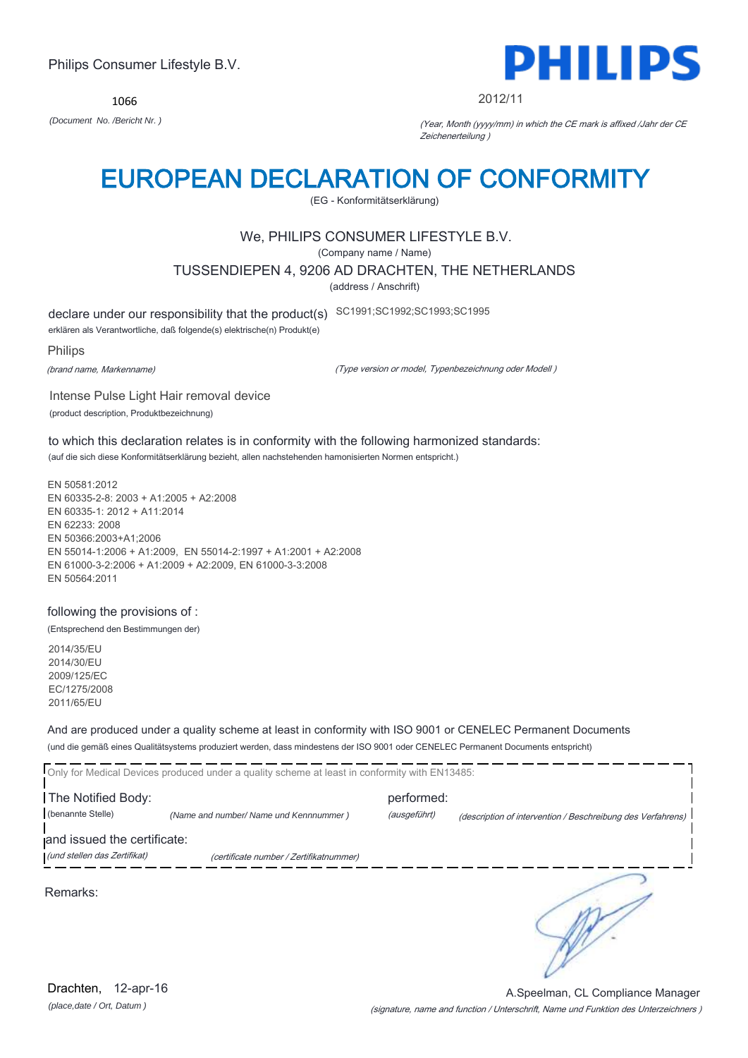1066



#### 2012/11

*(Document No. /Bericht Nr. )* (Year, Month (yyyy/mm) in which the CE mark is affixed /Jahr der CE Zeichenerteilung )

## EUROPEAN DECLARATION OF CONFORMITY

(EG - Konformitätserklärung)

## We, PHILIPS CONSUMER LIFESTYLE B.V.

(Company name / Name)

TUSSENDIEPEN 4, 9206 AD DRACHTEN, THE NETHERLANDS

(address / Anschrift)

declare under our responsibility that the product(s) SC1991;SC1992;SC1993;SC1995

erklären als Verantwortliche, daß folgende(s) elektrische(n) Produkt(e)

#### Philips

(brand name, Markenname)

(Type version or model, Typenbezeichnung oder Modell )

Intense Pulse Light Hair removal device (product description, Produktbezeichnung)

to which this declaration relates is in conformity with the following harmonized standards: (auf die sich diese Konformitätserklärung bezieht, allen nachstehenden hamonisierten Normen entspricht.)

EN 50581:2012 EN 60335-2-8: 2003 + A1:2005 + A2:2008 EN 60335-1: 2012 + A11:2014 EN 62233: 2008 EN 50366:2003+A1;2006 EN 55014-1:2006 + A1:2009, EN 55014-2:1997 + A1:2001 + A2:2008 EN 61000-3-2:2006 + A1:2009 + A2:2009, EN 61000-3-3:2008 EN 50564:2011

### following the provisions of :

(Entsprechend den Bestimmungen der)

2014/35/EU 2014/30/EU 2009/125/EC EC/1275/2008 2011/65/EU

And are produced under a quality scheme at least in conformity with ISO 9001 or CENELEC Permanent Documents (und die gemäß eines Qualitätsystems produziert werden, dass mindestens der ISO 9001 oder CENELEC Permanent Documents entspricht)

|                              | Only for Medical Devices produced under a quality scheme at least in conformity with EN13485: |              |                                                             |
|------------------------------|-----------------------------------------------------------------------------------------------|--------------|-------------------------------------------------------------|
| The Notified Body:           |                                                                                               | performed:   |                                                             |
| (benannte Stelle)            | (Name and number/ Name und Kennnummer)                                                        | (ausgeführt) | (description of intervention / Beschreibung des Verfahrens) |
| and issued the certificate:  |                                                                                               |              |                                                             |
| (und stellen das Zertifikat) | (certificate number / Zertifikatnummer)                                                       |              |                                                             |
| Remarks:                     |                                                                                               |              |                                                             |

(signature, name and function / Unterschrift, Name und Funktion des Unterzeichners ) A.Speelman, CL Compliance Manager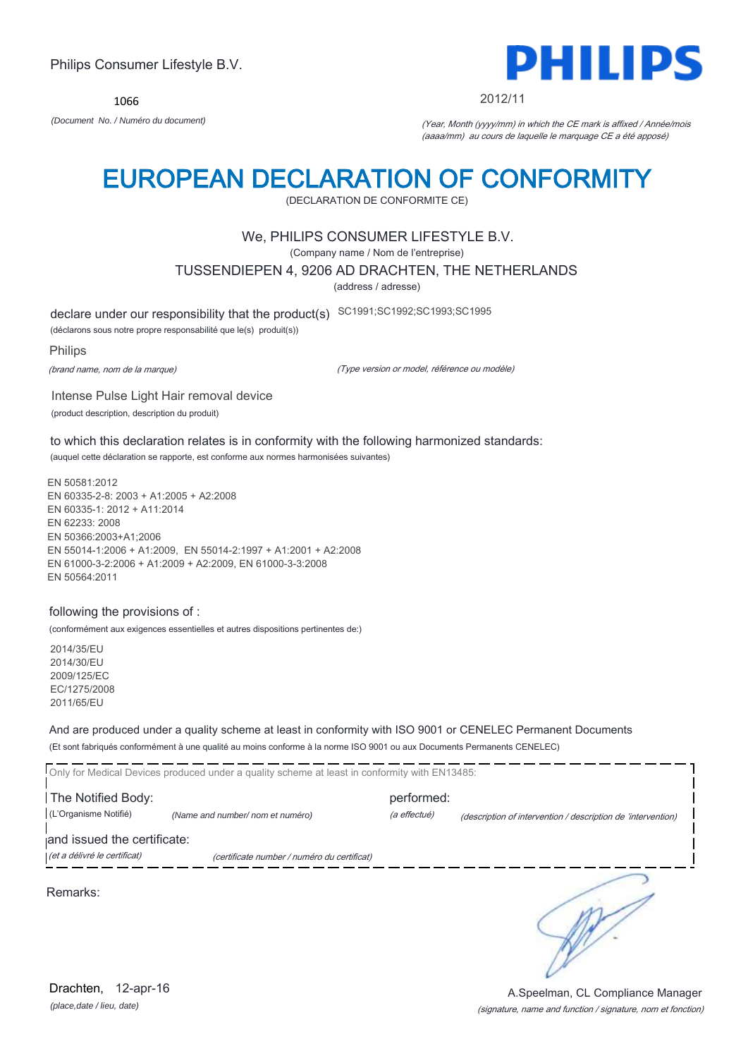1066



#### 2012/11

*(Document No. / Numéro du document)* (Year, Month (yyyy/mm) in which the CE mark is affixed / Année/mois (aaaa/mm) au cours de laquelle le marquage CE a été apposé)

## EUROPEAN DECLARATION OF CONFORMITY

(DECLARATION DE CONFORMITE CE)

### We, PHILIPS CONSUMER LIFESTYLE B.V.

(Company name / Nom de l'entreprise)

TUSSENDIEPEN 4, 9206 AD DRACHTEN, THE NETHERLANDS

(address / adresse)

declare under our responsibility that the product(s) SC1991;SC1992;SC1993;SC1995

(déclarons sous notre propre responsabilité que le(s) produit(s))

#### Philips

(brand name, nom de la marque)

(Type version or model, référence ou modèle)

Intense Pulse Light Hair removal device (product description, description du produit)

to which this declaration relates is in conformity with the following harmonized standards: (auquel cette déclaration se rapporte, est conforme aux normes harmonisées suivantes)

EN 50581:2012 EN 60335-2-8: 2003 + A1:2005 + A2:2008 EN 60335-1: 2012 + A11:2014 EN 62233: 2008 EN 50366:2003+A1;2006 EN 55014-1:2006 + A1:2009, EN 55014-2:1997 + A1:2001 + A2:2008 EN 61000-3-2:2006 + A1:2009 + A2:2009, EN 61000-3-3:2008 EN 50564:2011

#### following the provisions of :

(conformément aux exigences essentielles et autres dispositions pertinentes de:)

2014/35/EU 2014/30/EU 2009/125/EC EC/1275/2008 2011/65/EU

And are produced under a quality scheme at least in conformity with ISO 9001 or CENELEC Permanent Documents (Et sont fabriqués conformément à une qualité au moins conforme à la norme ISO 9001 ou aux Documents Permanents CENELEC)

|                              | Only for Medical Devices produced under a quality scheme at least in conformity with EN13485: |              |                                                              |
|------------------------------|-----------------------------------------------------------------------------------------------|--------------|--------------------------------------------------------------|
| The Notified Body:           |                                                                                               | performed:   |                                                              |
| (L'Organisme Notifié)        | (Name and number/ nom et numéro)                                                              | (a effectué) | (description of intervention / description de 'intervention) |
| and issued the certificate:  |                                                                                               |              |                                                              |
| (et a délivré le certificat) | (certificate number / numéro du certificat)                                                   |              |                                                              |
|                              |                                                                                               |              |                                                              |
| Remarks:                     |                                                                                               |              |                                                              |

*(place,date / lieu, date)* Drachten, 12-apr-16

#### (signature, name and function / signature, nom et fonction) A.Speelman, CL Compliance Manager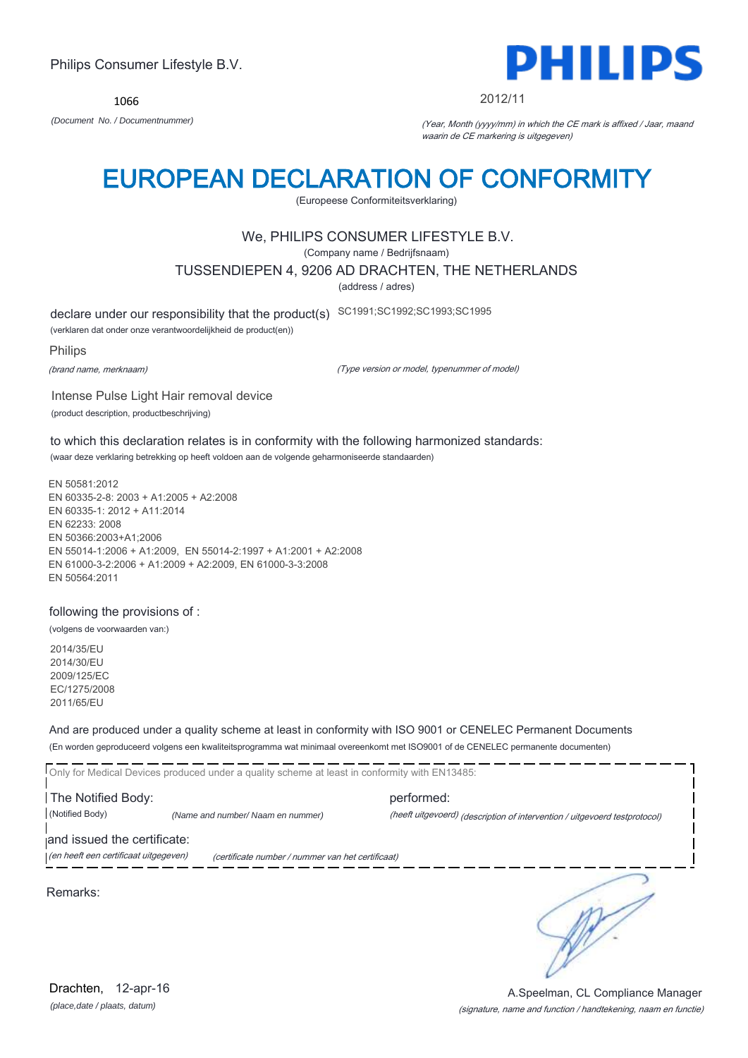1066



#### 2012/11

*(Document No. / Documentnummer)* (Year, Month (yyyy/mm) in which the CE mark is affixed / Jaar, maand waarin de CE markering is uitgegeven)

## EUROPEAN DECLARATION OF CONFORMITY

(Europeese Conformiteitsverklaring)

### We, PHILIPS CONSUMER LIFESTYLE B.V.

(Company name / Bedrijfsnaam)

TUSSENDIEPEN 4, 9206 AD DRACHTEN, THE NETHERLANDS

(address / adres)

declare under our responsibility that the product(s) SC1991;SC1992;SC1993;SC1995

(verklaren dat onder onze verantwoordelijkheid de product(en))

Philips

(brand name, merknaam)

(Type version or model, typenummer of model)

Intense Pulse Light Hair removal device (product description, productbeschrijving)

to which this declaration relates is in conformity with the following harmonized standards: (waar deze verklaring betrekking op heeft voldoen aan de volgende geharmoniseerde standaarden)

EN 50581:2012 EN 60335-2-8: 2003 + A1:2005 + A2:2008 EN 60335-1: 2012 + A11:2014 EN 62233: 2008 EN 50366:2003+A1;2006 EN 55014-1:2006 + A1:2009, EN 55014-2:1997 + A1:2001 + A2:2008 EN 61000-3-2:2006 + A1:2009 + A2:2009, EN 61000-3-3:2008 EN 50564:2011

#### following the provisions of :

(volgens de voorwaarden van:)

2014/35/EU 2014/30/EU 2009/125/EC EC/1275/2008 2011/65/EU

And are produced under a quality scheme at least in conformity with ISO 9001 or CENELEC Permanent Documents (En worden geproduceerd volgens een kwaliteitsprogramma wat minimaal overeenkomt met ISO9001 of de CENELEC permanente documenten)

Only for Medical Devices produced under a quality scheme at least in conformity with EN13485: **The Notified Body: performed:** performed: (Notified Body) *(Name and number/ Naam en nummer)* (heeft uitgevoerd) (description of intervention / uitgevoerd testprotocol) and issued the certificate: (en heeft een certificaat uitgegeven) (certificate number / nummer van het certificaat) ∍

Remarks:

*(place,date / plaats, datum)* Drachten, 12-apr-16

### (signature, name and function / handtekening, naam en functie) A.Speelman, CL Compliance Manager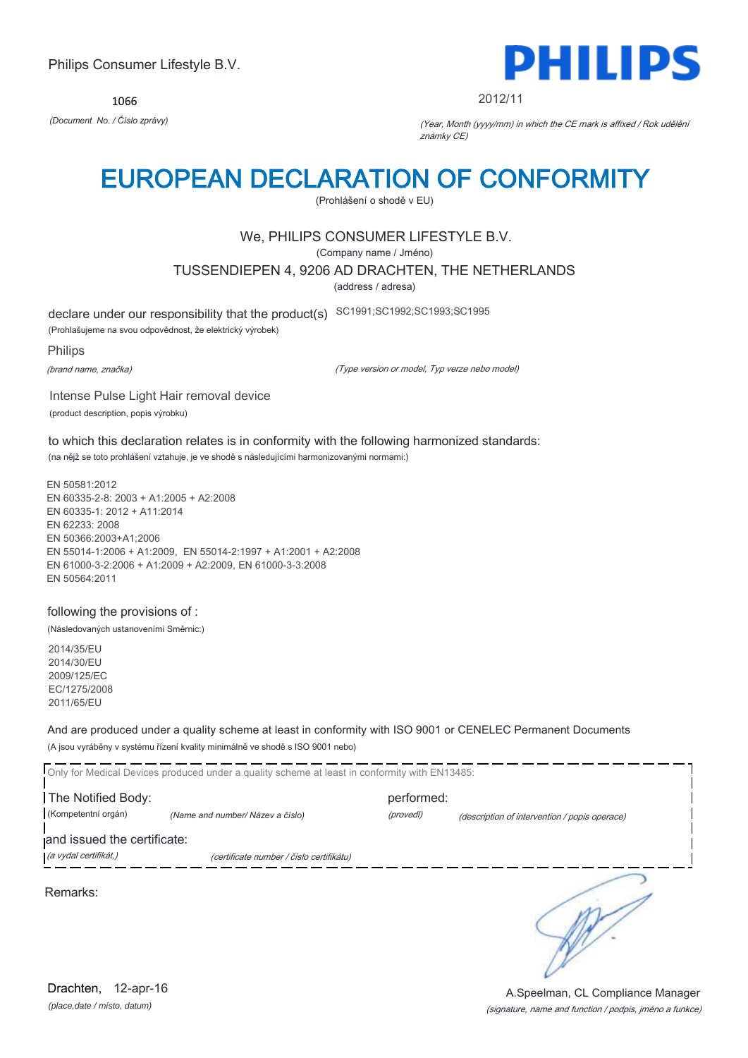1066



2012/11

*(Document No. / Číslo zprávy)* (Year, Month (yyyy/mm) in which the CE mark is affixed / Rok udělění známky CE)

## EUROPEAN DECLARATION OF CONFORMITY

(Prohlášení o shodě v EU)

## We, PHILIPS CONSUMER LIFESTYLE B.V.

(Company name / Jméno)

TUSSENDIEPEN 4, 9206 AD DRACHTEN, THE NETHERLANDS

(address / adresa)

declare under our responsibility that the product(s) SC1991;SC1992;SC1993;SC1995

(Prohlašujeme na svou odpovědnost, že elektrický výrobek)

#### Philips

(brand name, značka)

(Type version or model, Typ verze nebo model)

Intense Pulse Light Hair removal device (product description, popis výrobku)

to which this declaration relates is in conformity with the following harmonized standards: (na nějž se toto prohlášení vztahuje, je ve shodě s následujícími harmonizovanými normami:)

EN 50581:2012 EN 60335-2-8: 2003 + A1:2005 + A2:2008 EN 60335-1: 2012 + A11:2014 EN 62233: 2008 EN 50366:2003+A1;2006 EN 55014-1:2006 + A1:2009, EN 55014-2:1997 + A1:2001 + A2:2008 EN 61000-3-2:2006 + A1:2009 + A2:2009, EN 61000-3-3:2008 EN 50564:2011

### following the provisions of :

(Následovaných ustanoveními Směrnic:)

2014/35/EU 2014/30/EU 2009/125/EC EC/1275/2008 2011/65/EU

And are produced under a quality scheme at least in conformity with ISO 9001 or CENELEC Permanent Documents (A jsou vyráběny v systému řízení kvality minimálně ve shodě s ISO 9001 nebo)

Only for Medical Devices produced under a quality scheme at least in conformity with EN13485: **The Notified Body: performed:** performed: (Kompetentní orgán) *(Name and number/ Název a číslo)* (provedl) (description of intervention / popis operace) and issued the certificate: (a vydal certifikát,) (certificate number / číslo certifikátu) ∍ Remarks:

*(place,date / místo, datum)* Drachten, 12-apr-16

### (signature, name and function / podpis, jméno a funkce) A.Speelman, CL Compliance Manager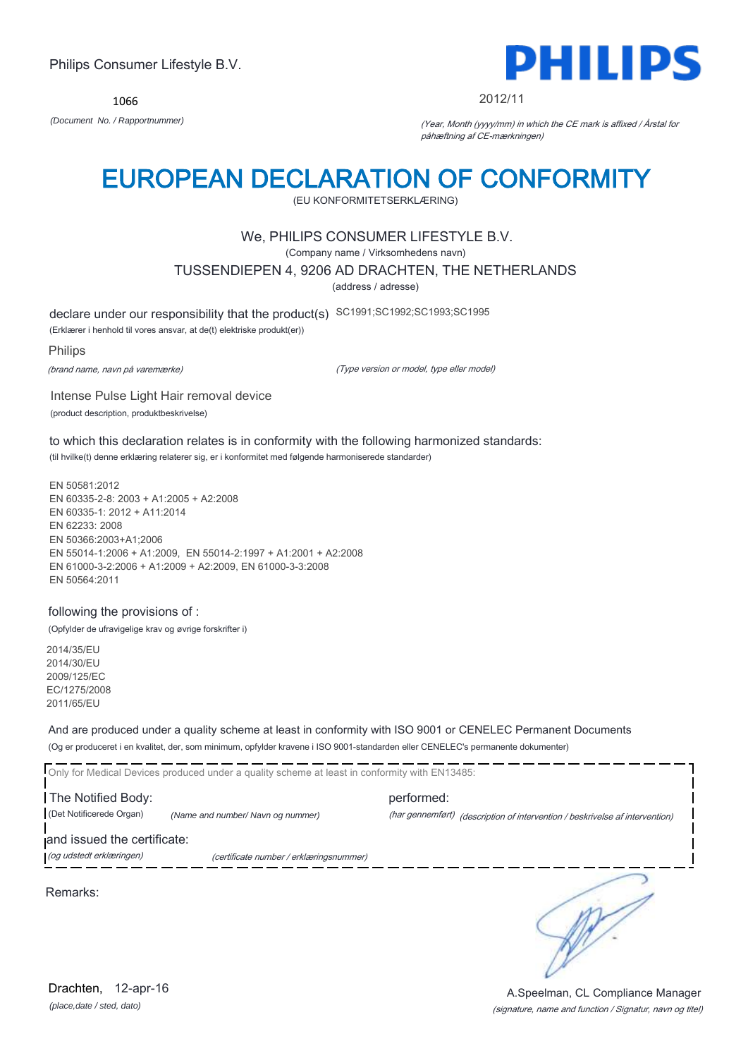1066



#### 2012/11

*(Document No. / Rapportnummer)* (Year, Month (yyyy/mm) in which the CE mark is affixed / Årstal for påhæftning af CE-mærkningen)

## EUROPEAN DECLARATION OF CONFORMITY

(EU KONFORMITETSERKLÆRING)

### We, PHILIPS CONSUMER LIFESTYLE B.V.

(Company name / Virksomhedens navn)

TUSSENDIEPEN 4, 9206 AD DRACHTEN, THE NETHERLANDS

(address / adresse)

declare under our responsibility that the product(s) SC1991;SC1992;SC1993;SC1995

(Erklærer i henhold til vores ansvar, at de(t) elektriske produkt(er))

#### Philips

(brand name, navn på varemærke)

(Type version or model, type eller model)

Intense Pulse Light Hair removal device (product description, produktbeskrivelse)

to which this declaration relates is in conformity with the following harmonized standards: (til hvilke(t) denne erklæring relaterer sig, er i konformitet med følgende harmoniserede standarder)

EN 50581:2012 EN 60335-2-8: 2003 + A1:2005 + A2:2008 EN 60335-1: 2012 + A11:2014 EN 62233: 2008 EN 50366:2003+A1;2006 EN 55014-1:2006 + A1:2009, EN 55014-2:1997 + A1:2001 + A2:2008 EN 61000-3-2:2006 + A1:2009 + A2:2009, EN 61000-3-3:2008 EN 50564:2011

### following the provisions of :

(Opfylder de ufravigelige krav og øvrige forskrifter i)

2014/35/EU 2014/30/EU 2009/125/EC EC/1275/2008 2011/65/EU

And are produced under a quality scheme at least in conformity with ISO 9001 or CENELEC Permanent Documents (Og er produceret i en kvalitet, der, som minimum, opfylder kravene i ISO 9001-standarden eller CENELEC's permanente dokumenter)

Only for Medical Devices produced under a quality scheme at least in conformity with EN13485: **The Notified Body: performed:** performed: (Det Notificerede Organ) *(Name and number/ Navn og nummer)* (har gennemført) (description of intervention / beskrivelse af intervention) and issued the certificate: (og udstedt erklæringen) (certificate number / erklæringsnummer)

Remarks:

*(place,date / sted, dato)* Drachten, 12-apr-16

∍

(signature, name and function / Signatur, navn og titel) A.Speelman, CL Compliance Manager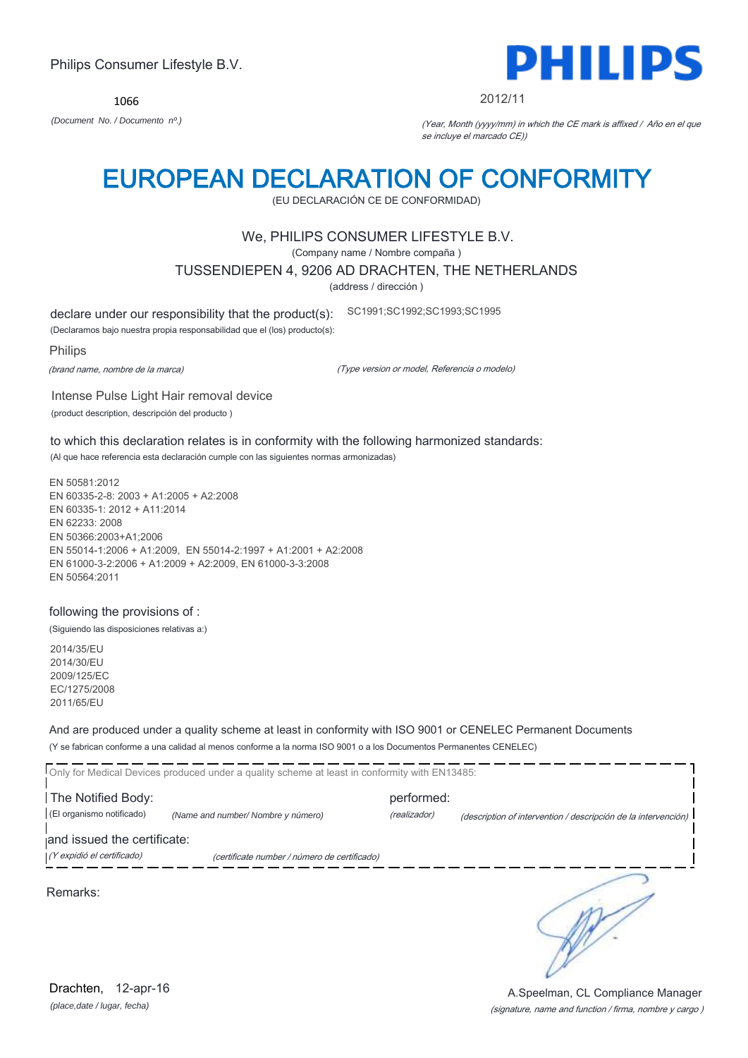1066



#### 2012/11

*(Document No. / Documento nº.)* (Year, Month (yyyy/mm) in which the CE mark is affixed / Año en el que se incluye el marcado CE))

## EUROPEAN DECLARATION OF CONFORMITY

(EU DECLARACIÓN CE DE CONFORMIDAD)

### We, PHILIPS CONSUMER LIFESTYLE B.V.

(Company name / Nombre compaña )

TUSSENDIEPEN 4, 9206 AD DRACHTEN, THE NETHERLANDS

(address / dirección )

declare under our responsibility that the product(s): SC1991;SC1992;SC1993;SC1995

(Declaramos bajo nuestra propia responsabilidad que el (los) producto(s):

#### Philips

(brand name, nombre de la marca)

(Type version or model, Referencia o modelo)

Intense Pulse Light Hair removal device (product description, descripción del producto )

to which this declaration relates is in conformity with the following harmonized standards: (Al que hace referencia esta declaración cumple con las siguientes normas armonizadas)

EN 50581:2012 EN 60335-2-8: 2003 + A1:2005 + A2:2008 EN 60335-1: 2012 + A11:2014 EN 62233: 2008 EN 50366:2003+A1;2006 EN 55014-1:2006 + A1:2009, EN 55014-2:1997 + A1:2001 + A2:2008 EN 61000-3-2:2006 + A1:2009 + A2:2009, EN 61000-3-3:2008 EN 50564:2011

### following the provisions of :

(Siguiendo las disposiciones relativas a:)

2014/35/EU 2014/30/EU 2009/125/EC EC/1275/2008 2011/65/EU

And are produced under a quality scheme at least in conformity with ISO 9001 or CENELEC Permanent Documents (Y se fabrican conforme a una calidad al menos conforme a la norma ISO 9001 o a los Documentos Permanentes CENELEC)

|                             | Only for Medical Devices produced under a quality scheme at least in conformity with EN13485: |              |                                                                |
|-----------------------------|-----------------------------------------------------------------------------------------------|--------------|----------------------------------------------------------------|
| The Notified Body:          |                                                                                               | performed:   |                                                                |
| (El organismo notificado)   | (Name and number/ Nombre y número)                                                            | (realizador) | (description of intervention / descripción de la intervención) |
| and issued the certificate: |                                                                                               |              |                                                                |
| (Y expidió el certificado)  | (certificate number / número de certificado)                                                  |              |                                                                |
| Remarks:                    |                                                                                               |              |                                                                |

*(place,date / lugar, fecha)* Drachten, 12-apr-16

(signature, name and function / firma, nombre y cargo ) A.Speelman, CL Compliance Manager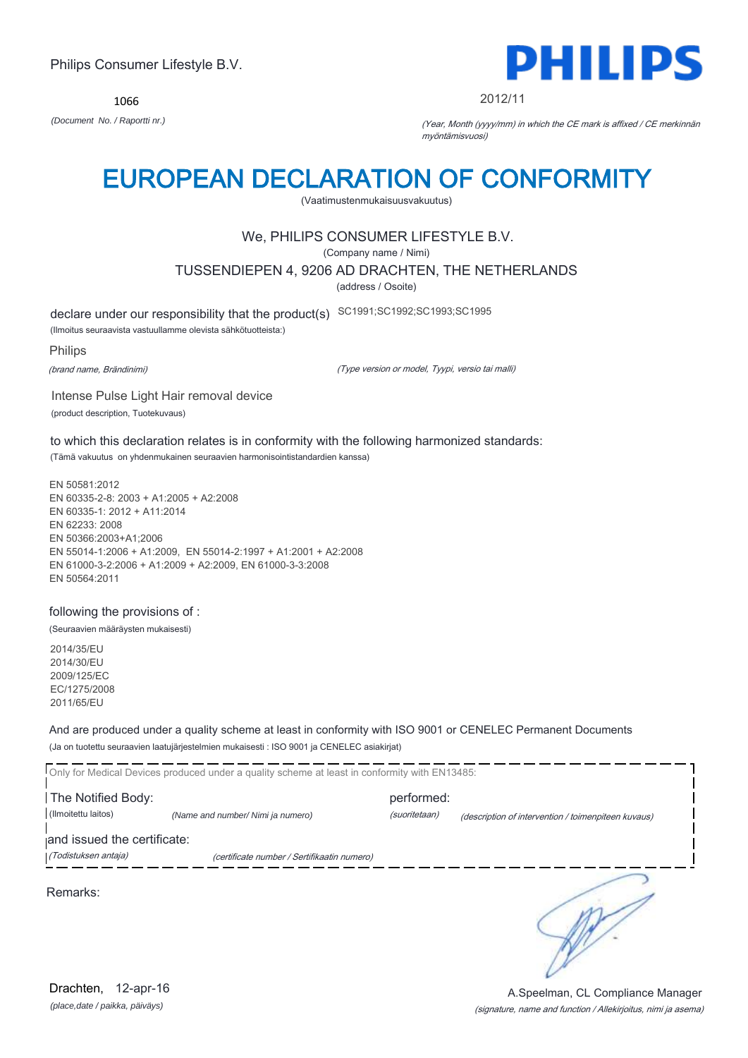1066



#### 2012/11

*(Document No. / Raportti nr.)* (Year, Month (yyyy/mm) in which the CE mark is affixed / CE merkinnän myöntämisvuosi)

## EUROPEAN DECLARATION OF CONFORMITY

(Vaatimustenmukaisuusvakuutus)

## We, PHILIPS CONSUMER LIFESTYLE B.V.

(Company name / Nimi)

TUSSENDIEPEN 4, 9206 AD DRACHTEN, THE NETHERLANDS

(address / Osoite)

declare under our responsibility that the product(s) SC1991;SC1992;SC1993;SC1995

(Ilmoitus seuraavista vastuullamme olevista sähkötuotteista:)

#### Philips

(brand name, Brändinimi)

(Type version or model, Tyypi, versio tai malli)

Intense Pulse Light Hair removal device (product description, Tuotekuvaus)

to which this declaration relates is in conformity with the following harmonized standards: (Tämä vakuutus on yhdenmukainen seuraavien harmonisointistandardien kanssa)

EN 50581:2012 EN 60335-2-8: 2003 + A1:2005 + A2:2008 EN 60335-1: 2012 + A11:2014 EN 62233: 2008 EN 50366:2003+A1;2006 EN 55014-1:2006 + A1:2009, EN 55014-2:1997 + A1:2001 + A2:2008 EN 61000-3-2:2006 + A1:2009 + A2:2009, EN 61000-3-3:2008 EN 50564:2011

#### following the provisions of :

(Seuraavien määräysten mukaisesti)

2014/35/EU 2014/30/EU 2009/125/EC EC/1275/2008 2011/65/EU

And are produced under a quality scheme at least in conformity with ISO 9001 or CENELEC Permanent Documents (Ja on tuotettu seuraavien laatujärjestelmien mukaisesti : ISO 9001 ja CENELEC asiakirjat)

|                             | Only for Medical Devices produced under a quality scheme at least in conformity with EN13485: |               |                                                     |
|-----------------------------|-----------------------------------------------------------------------------------------------|---------------|-----------------------------------------------------|
| The Notified Body:          |                                                                                               | performed:    |                                                     |
|                             |                                                                                               |               |                                                     |
| (Ilmoitettu laitos)         | (Name and number/ Nimi ja numero)                                                             | (suoritetaan) | (description of intervention / toimenpiteen kuvaus) |
| and issued the certificate: |                                                                                               |               |                                                     |
| (Todistuksen antaja)        | (certificate number / Sertifikaatin numero)                                                   |               |                                                     |
|                             |                                                                                               |               |                                                     |
| Remarks:                    |                                                                                               |               |                                                     |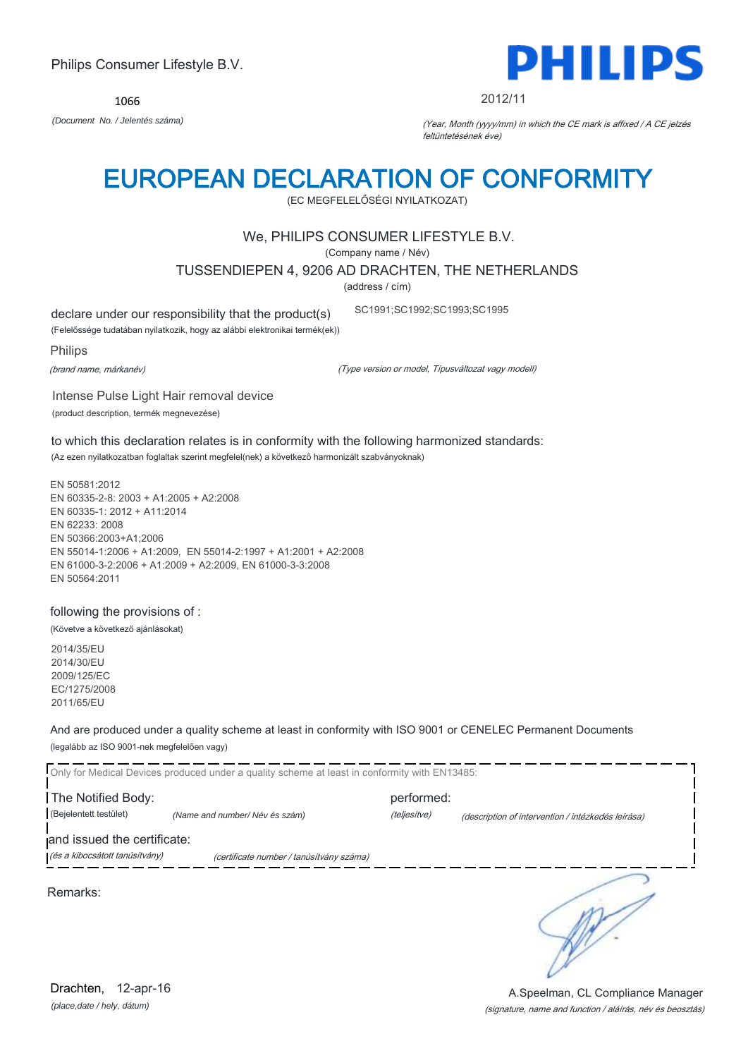*(place,date / hely, dátum)* Drachten, 12-apr-16

### (Bejelentett testület) *(Name and number/ Név és szám)* (teljesítve) (description of intervention / intézkedés leírása)

**The Notified Body: performed:** performed:

And are produced under a quality scheme at least in conformity with ISO 9001 or CENELEC Permanent Documents

and issued the certificate:

(legalább az ISO 9001-nek megfelelően vagy)

(és a kibocsátott tanúsítvány) (certificate number / tanúsítvány száma)

Only for Medical Devices produced under a quality scheme at least in conformity with EN13485:

Remarks:

following the provisions of : (Követve a következő ajánlásokat)

2014/35/EU 2014/30/EU 2009/125/EC EC/1275/2008

2011/65/EU

EN 62233: 2008 EN 50366:2003+A1;2006 EN 55014-1:2006 + A1:2009, EN 55014-2:1997 + A1:2001 + A2:2008 EN 61000-3-2:2006 + A1:2009 + A2:2009, EN 61000-3-3:2008 EN 50564:2011

(Az ezen nyilatkozatban foglaltak szerint megfelel(nek) a következő harmonizált szabványoknak)

EN 50581:2012 EN 60335-2-8: 2003 + A1:2005 + A2:2008 EN 60335-1: 2012 + A11:2014

to which this declaration relates is in conformity with the following harmonized standards:

(Company name / Név)

TUSSENDIEPEN 4, 9206 AD DRACHTEN, THE NETHERLANDS

SC1991;SC1992;SC1993;SC1995

EUROPEAN DECLARATION OF CONFORMITY

(EC MEGFELELŐSÉGI NYILATKOZAT)

## We, PHILIPS CONSUMER LIFESTYLE B.V.

(address / cím)

declare under our responsibility that the product(s)

(Felelőssége tudatában nyilatkozik, hogy az alábbi elektronikai termék(ek))

Intense Pulse Light Hair removal device

(product description, termék megnevezése)

Philips

(brand name, márkanév)

(Type version or model, Típusváltozat vagy modell)



1066





(signature, name and function / aláírás, név és beosztás)

A.Speelman, CL Compliance Manager

*(Document No. / Jelentés száma)* (Year, Month (yyyy/mm) in which the CE mark is affixed / A CE jelzés

feltüntetésének éve)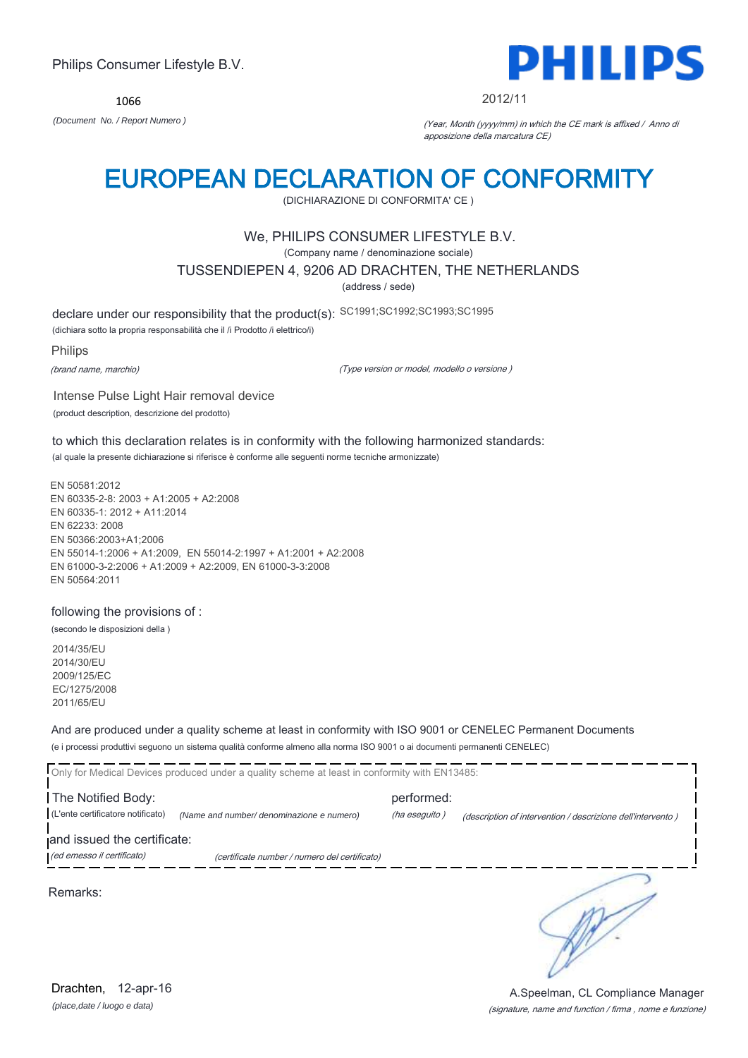1066



#### 2012/11

*(Document No. / Report Numero )* (Year, Month (yyyy/mm) in which the CE mark is affixed / Anno di apposizione della marcatura CE)

## EUROPEAN DECLARATION OF CONFORMITY

(DICHIARAZIONE DI CONFORMITA' CE )

### We, PHILIPS CONSUMER LIFESTYLE B.V.

(Company name / denominazione sociale)

TUSSENDIEPEN 4, 9206 AD DRACHTEN, THE NETHERLANDS

(address / sede)

declare under our responsibility that the product(s): SC1991;SC1992;SC1993;SC1995

(dichiara sotto la propria responsabilità che il /i Prodotto /i elettrico/i)

Philips

(brand name, marchio)

(Type version or model, modello o versione )

Intense Pulse Light Hair removal device (product description, descrizione del prodotto)

to which this declaration relates is in conformity with the following harmonized standards: (al quale la presente dichiarazione si riferisce è conforme alle seguenti norme tecniche armonizzate)

EN 50581:2012 EN 60335-2-8: 2003 + A1:2005 + A2:2008 EN 60335-1: 2012 + A11:2014 EN 62233: 2008 EN 50366:2003+A1;2006 EN 55014-1:2006 + A1:2009, EN 55014-2:1997 + A1:2001 + A2:2008 EN 61000-3-2:2006 + A1:2009 + A2:2009, EN 61000-3-3:2008 EN 50564:2011

#### following the provisions of :

(secondo le disposizioni della )

2014/35/EU 2014/30/EU 2009/125/EC EC/1275/2008 2011/65/EU

And are produced under a quality scheme at least in conformity with ISO 9001 or CENELEC Permanent Documents (e i processi produttivi seguono un sistema qualità conforme almeno alla norma ISO 9001 o ai documenti permanenti CENELEC)

|                                                           | Only for Medical Devices produced under a quality scheme at least in conformity with EN13485: |                             |                                                             |
|-----------------------------------------------------------|-----------------------------------------------------------------------------------------------|-----------------------------|-------------------------------------------------------------|
| The Notified Body:<br>(L'ente certificatore notificato)   | (Name and number/ denominazione e numero)                                                     | performed:<br>(ha eseguito) | (description of intervention / descrizione dell'intervento) |
| and issued the certificate:<br>(ed emesso il certificato) | (certificate number / numero del certificato)                                                 |                             |                                                             |
| Remarks:                                                  |                                                                                               |                             |                                                             |

*(place,date / luogo e data)* Drachten, 12-apr-16

(signature, name and function / firma , nome e funzione) A.Speelman, CL Compliance Manager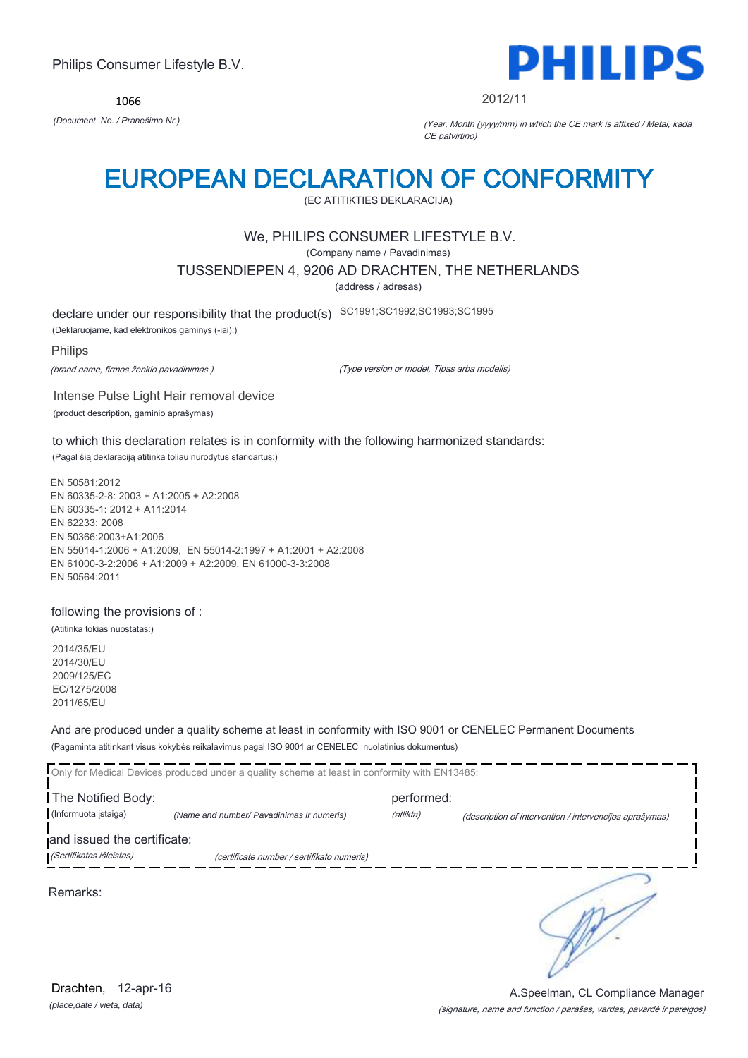1066



2012/11

*(Document No. / Pranešimo Nr.)* (Year, Month (yyyy/mm) in which the CE mark is affixed / Metai, kada CE patvirtino)

## EUROPEAN DECLARATION OF CONFORMITY

(EC ATITIKTIES DEKLARACIJA)

## We, PHILIPS CONSUMER LIFESTYLE B.V.

(Company name / Pavadinimas)

TUSSENDIEPEN 4, 9206 AD DRACHTEN, THE NETHERLANDS

(address / adresas)

declare under our responsibility that the product(s) SC1991;SC1992;SC1993;SC1995

(Deklaruojame, kad elektronikos gaminys (-iai):)

#### Philips

(brand name, firmos ženklo pavadinimas )

(Type version or model, Tipas arba modelis)

Intense Pulse Light Hair removal device (product description, gaminio aprašymas)

to which this declaration relates is in conformity with the following harmonized standards: (Pagal šią deklaraciją atitinka toliau nurodytus standartus:)

EN 50581:2012 EN 60335-2-8: 2003 + A1:2005 + A2:2008 EN 60335-1: 2012 + A11:2014 EN 62233: 2008 EN 50366:2003+A1;2006 EN 55014-1:2006 + A1:2009, EN 55014-2:1997 + A1:2001 + A2:2008 EN 61000-3-2:2006 + A1:2009 + A2:2009, EN 61000-3-3:2008 EN 50564:2011

#### following the provisions of :

(Atitinka tokias nuostatas:)

2014/35/EU 2014/30/EU 2009/125/EC EC/1275/2008 2011/65/EU

And are produced under a quality scheme at least in conformity with ISO 9001 or CENELEC Permanent Documents (Pagaminta atitinkant visus kokybės reikalavimus pagal ISO 9001 ar CENELEC nuolatinius dokumentus)

|                             | Only for Medical Devices produced under a quality scheme at least in conformity with EN13485: |            |                                                         |
|-----------------------------|-----------------------------------------------------------------------------------------------|------------|---------------------------------------------------------|
| The Notified Body:          |                                                                                               | performed: |                                                         |
| (Informuota istaiga)        | (Name and number/ Pavadinimas ir numeris)                                                     | (atlikta)  | (description of intervention / intervencijos aprašymas) |
| and issued the certificate: |                                                                                               |            |                                                         |
| (Sertifikatas išleistas)    | (certificate number / sertifikato numeris)                                                    |            |                                                         |
| Remarks:                    |                                                                                               |            |                                                         |

*(place,date / vieta, data)* Drachten, 12-apr-16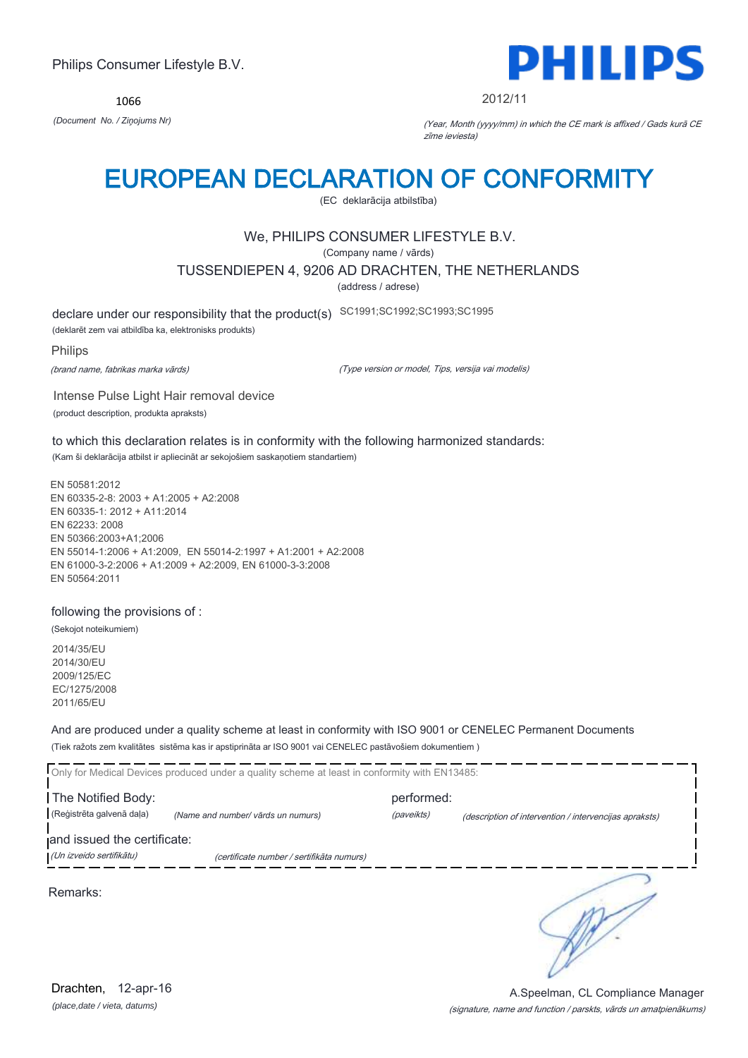1066



#### 2012/11

*(Document No. / Ziņojums Nr)* (Year, Month (yyyy/mm) in which the CE mark is affixed / Gads kurā CE zīme ieviesta)

## EUROPEAN DECLARATION OF CONFORMITY

(EC deklarācija atbilstība)

## We, PHILIPS CONSUMER LIFESTYLE B.V.

(Company name / vārds)

TUSSENDIEPEN 4, 9206 AD DRACHTEN, THE NETHERLANDS

(address / adrese)

declare under our responsibility that the product(s) SC1991;SC1992;SC1993;SC1995

(deklarēt zem vai atbildība ka, elektronisks produkts)

#### Philips

(brand name, fabrikas marka vārds)

(Type version or model, Tips, versija vai modelis)

Intense Pulse Light Hair removal device (product description, produkta apraksts)

to which this declaration relates is in conformity with the following harmonized standards: (Kam ši deklarācija atbilst ir apliecināt ar sekojošiem saskaņotiem standartiem)

EN 50581:2012 EN 60335-2-8: 2003 + A1:2005 + A2:2008 EN 60335-1: 2012 + A11:2014 EN 62233: 2008 EN 50366:2003+A1;2006 EN 55014-1:2006 + A1:2009, EN 55014-2:1997 + A1:2001 + A2:2008 EN 61000-3-2:2006 + A1:2009 + A2:2009, EN 61000-3-3:2008 EN 50564:2011

#### following the provisions of :

(Sekojot noteikumiem)

2014/35/EU 2014/30/EU 2009/125/EC EC/1275/2008 2011/65/EU

And are produced under a quality scheme at least in conformity with ISO 9001 or CENELEC Permanent Documents (Tiek ražots zem kvalitātes sistēma kas ir apstiprināta ar ISO 9001 vai CENELEC pastāvošiem dokumentiem )

|                             | Only for Medical Devices produced under a quality scheme at least in conformity with EN13485: |            |                                                        |
|-----------------------------|-----------------------------------------------------------------------------------------------|------------|--------------------------------------------------------|
| The Notified Body:          |                                                                                               | performed: |                                                        |
| (Reģistrēta galvenā daļa)   | (Name and number/ vārds un numurs)                                                            | (paveikts) | (description of intervention / intervencijas apraksts) |
| and issued the certificate: |                                                                                               |            |                                                        |
| (Un izveido sertifikātu)    | (certificate number / sertifikāta numurs)                                                     |            |                                                        |
| Remarks:                    |                                                                                               |            |                                                        |

*(place,date / vieta, datums)* Drachten, 12-apr-16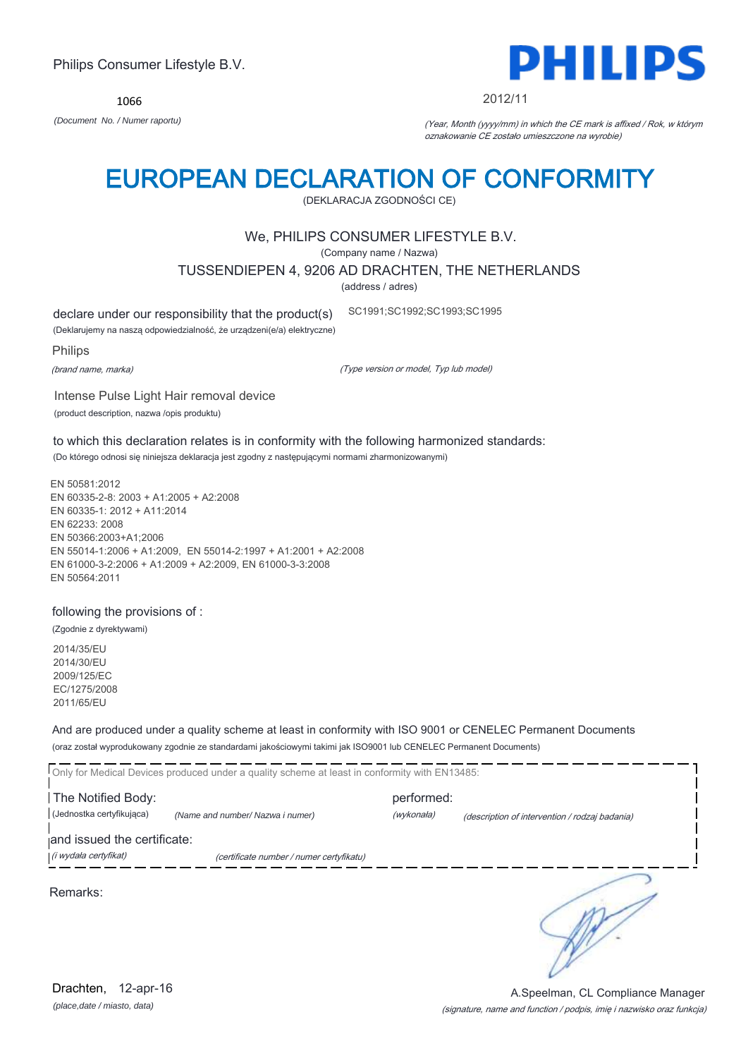*(place,date / miasto, data)* Drachten, 12-apr-16

#### (signature, name and function / podpis, imię i nazwisko oraz funkcja) A.Speelman, CL Compliance Manager

EUROPEAN DECLARATION OF CONFORMITY (DEKLARACJA ZGODNOŚCI CE)

## We, PHILIPS CONSUMER LIFESTYLE B.V.

(Company name / Nazwa)

TUSSENDIEPEN 4, 9206 AD DRACHTEN, THE NETHERLANDS

(address / adres)

declare under our responsibility that the product(s)

(Deklarujemy na naszą odpowiedzialność, że urządzeni(e/a) elektryczne)

Philips

(brand name, marka)

(Type version or model, Typ lub model)

SC1991;SC1992;SC1993;SC1995

Intense Pulse Light Hair removal device (product description, nazwa /opis produktu)

to which this declaration relates is in conformity with the following harmonized standards: (Do którego odnosi się niniejsza deklaracja jest zgodny z następującymi normami zharmonizowanymi)

EN 50581:2012 EN 60335-2-8: 2003 + A1:2005 + A2:2008 EN 60335-1: 2012 + A11:2014 EN 62233: 2008 EN 50366:2003+A1;2006 EN 55014-1:2006 + A1:2009, EN 55014-2:1997 + A1:2001 + A2:2008 EN 61000-3-2:2006 + A1:2009 + A2:2009, EN 61000-3-3:2008 EN 50564:2011

following the provisions of :

(Zgodnie z dyrektywami)

2014/35/EU 2014/30/EU 2009/125/EC EC/1275/2008 2011/65/EU

And are produced under a quality scheme at least in conformity with ISO 9001 or CENELEC Permanent Documents (oraz został wyprodukowany zgodnie ze standardami jakościowymi takimi jak ISO9001 lub CENELEC Permanent Documents)

Only for Medical Devices produced under a quality scheme at least in conformity with EN13485: The Notified Body: example and the Notified Body: (Jednostka certyfikująca) *(Name and number/ Nazwa i numer)* (wykonała) (description of intervention / rodzaj badania) and issued the certificate: (i wydała certyfikat) (certificate number / numer certyfikatu) ₹ Remarks:

*(Document No. / Numer raportu)* (Year, Month (yyyy/mm) in which the CE mark is affixed / Rok, w którym oznakowanie CE zostało umieszczone na wyrobie)



Philips Consumer Lifestyle B.V.

1066

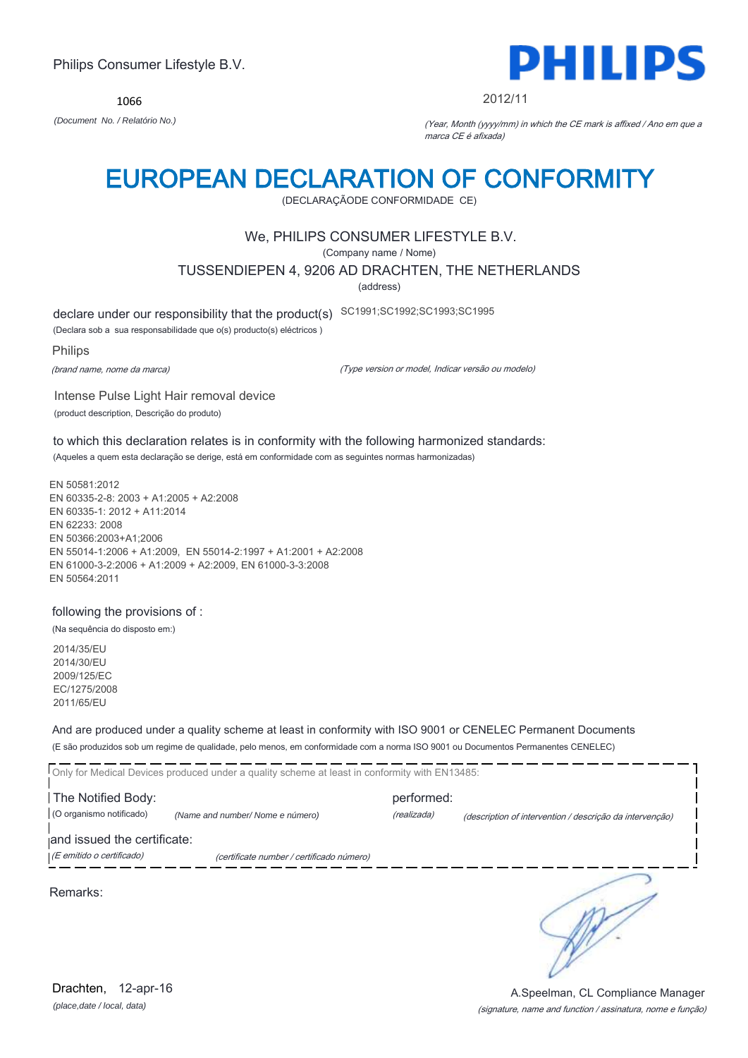*(place,date / local, data)* Drachten, 12-apr-16

## Philips Consumer Lifestyle B.V.

1066 *(Document No. / Relatório No.)* (Year, Month (yyyy/mm) in which the CE mark is affixed / Ano em que a

## marca CE é afixada)

## EUROPEAN DECLARATION OF CONFORMITY

(DECLARAÇÃODE CONFORMIDADE CE)

## We, PHILIPS CONSUMER LIFESTYLE B.V.

(Company name / Nome)

TUSSENDIEPEN 4, 9206 AD DRACHTEN, THE NETHERLANDS

(address)

declare under our responsibility that the product(s) SC1991;SC1992;SC1993;SC1995

(Declara sob a sua responsabilidade que o(s) producto(s) eléctricos )

Intense Pulse Light Hair removal device

Philips

(brand name, nome da marca)

(Type version or model, Indicar versão ou modelo)

(product description, Descrição do produto)

to which this declaration relates is in conformity with the following harmonized standards: (Aqueles a quem esta declaração se derige, está em conformidade com as seguintes normas harmonizadas)

EN 50581:2012 EN 60335-2-8: 2003 + A1:2005 + A2:2008 EN 60335-1: 2012 + A11:2014 EN 62233: 2008 EN 50366:2003+A1;2006 EN 55014-1:2006 + A1:2009, EN 55014-2:1997 + A1:2001 + A2:2008 EN 61000-3-2:2006 + A1:2009 + A2:2009, EN 61000-3-3:2008 EN 50564:2011

following the provisions of :

(Na sequência do disposto em:)

2014/35/EU 2014/30/EU 2009/125/EC EC/1275/2008 2011/65/EU

And are produced under a quality scheme at least in conformity with ISO 9001 or CENELEC Permanent Documents (E são produzidos sob um regime de qualidade, pelo menos, em conformidade com a norma ISO 9001 ou Documentos Permanentes CENELEC)

|                             | Only for Medical Devices produced under a quality scheme at least in conformity with EN13485: |             |                                                          |
|-----------------------------|-----------------------------------------------------------------------------------------------|-------------|----------------------------------------------------------|
| The Notified Body:          |                                                                                               | performed:  |                                                          |
| (O organismo notificado)    | (Name and number/ Nome e número)                                                              | (realizada) | (description of intervention / descrição da intervenção) |
| and issued the certificate: |                                                                                               |             |                                                          |
| (E emitido o certificado)   | (certificate number / certificado número)                                                     |             |                                                          |
| Remarks:                    |                                                                                               |             |                                                          |



(signature, name and function / assinatura, nome e função) A.Speelman, CL Compliance Manager

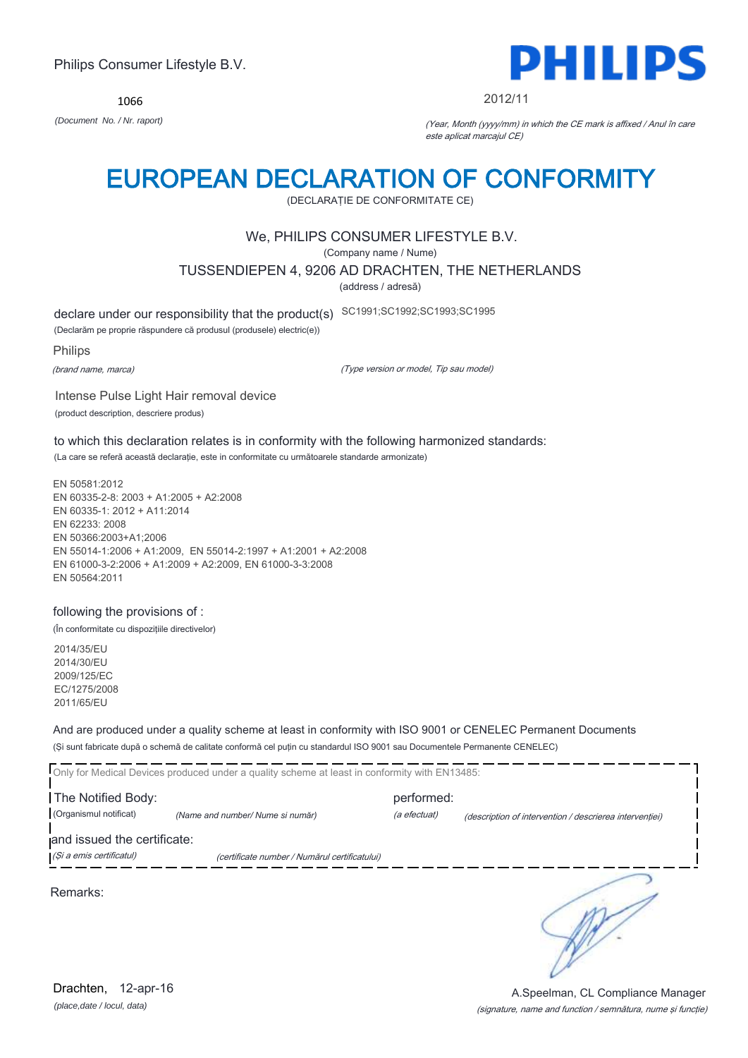1066



#### 2012/11

*(Document No. / Nr. raport)* (Year, Month (yyyy/mm) in which the CE mark is affixed / Anul în care este aplicat marcajul CE)

## EUROPEAN DECLARATION OF CONFORMITY

(DECLARAŢIE DE CONFORMITATE CE)

### We, PHILIPS CONSUMER LIFESTYLE B.V.

(Company name / Nume)

TUSSENDIEPEN 4, 9206 AD DRACHTEN, THE NETHERLANDS

(address / adresă)

declare under our responsibility that the product(s) SC1991;SC1992;SC1993;SC1995

(Declarăm pe proprie răspundere că produsul (produsele) electric(e))

Philips

(brand name, marca)

(Type version or model, Tip sau model)

Intense Pulse Light Hair removal device (product description, descriere produs)

to which this declaration relates is in conformity with the following harmonized standards: (La care se referă această declaraţie, este in conformitate cu următoarele standarde armonizate)

EN 50581:2012 EN 60335-2-8: 2003 + A1:2005 + A2:2008 EN 60335-1: 2012 + A11:2014 EN 62233: 2008 EN 50366:2003+A1;2006 EN 55014-1:2006 + A1:2009, EN 55014-2:1997 + A1:2001 + A2:2008 EN 61000-3-2:2006 + A1:2009 + A2:2009, EN 61000-3-3:2008 EN 50564:2011

#### following the provisions of :

(În conformitate cu dispoziţiile directivelor)

2014/35/EU 2014/30/EU 2009/125/EC EC/1275/2008 2011/65/EU

And are produced under a quality scheme at least in conformity with ISO 9001 or CENELEC Permanent Documents (Şi sunt fabricate după o schemă de calitate conformă cel puţin cu standardul ISO 9001 sau Documentele Permanente CENELEC)

|                                              | Only for Medical Devices produced under a quality scheme at least in conformity with EN13485: |                            |                                                         |
|----------------------------------------------|-----------------------------------------------------------------------------------------------|----------------------------|---------------------------------------------------------|
| The Notified Body:<br>(Organismul notificat) | (Name and number/ Nume si număr)                                                              | performed:<br>(a efectuat) | (description of intervention / descrierea interventiei) |
| and issued the certificate:                  |                                                                                               |                            |                                                         |
| (Și a emis certificatul)                     | (certificate number / Numărul certificatului)                                                 |                            |                                                         |
| Remarks:                                     |                                                                                               |                            |                                                         |

*(place,date / locul, data)* Drachten, 12-apr-16

### (signature, name and function / semnătura, nume şi funcţie) A.Speelman, CL Compliance Manager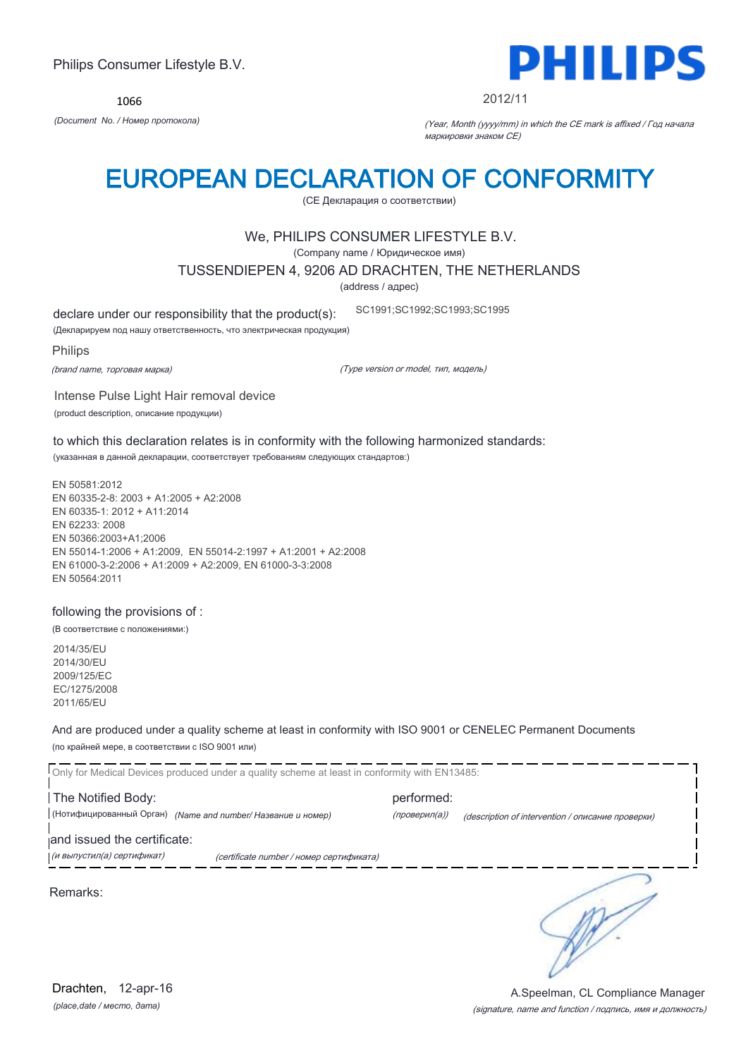1066



#### 2012/11

*(Document No. / Номер протокола)* (Year, Month (yyyy/mm) in which the CE mark is affixed / Год начала маркировки знаком CE)

## EUROPEAN DECLARATION OF CONFORMITY

(CE Декларация о соответствии)

### We, PHILIPS CONSUMER LIFESTYLE B.V.

(Company name / Юридическое имя)

TUSSENDIEPEN 4, 9206 AD DRACHTEN, THE NETHERLANDS

(address / адрес)

declare under our responsibility that the product(s): SC1991;SC1992;SC1993;SC1995

(Декларируем под нашу ответственность, что электрическая продукция)

Philips

(brand name, торговая марка)

(Type version or model, тип, модель)

Intense Pulse Light Hair removal device (product description, описание продукции)

to which this declaration relates is in conformity with the following harmonized standards: (указанная в данной декларации, соответствует требованиям следующих стандартов:)

EN 50581:2012 EN 60335-2-8: 2003 + A1:2005 + A2:2008 EN 60335-1: 2012 + A11:2014 EN 62233: 2008 EN 50366:2003+A1;2006 EN 55014-1:2006 + A1:2009, EN 55014-2:1997 + A1:2001 + A2:2008 EN 61000-3-2:2006 + A1:2009 + A2:2009, EN 61000-3-3:2008 EN 50564:2011

#### following the provisions of :

(В соответствие с положениями:)

2014/35/EU 2014/30/EU 2009/125/EC EC/1275/2008 2011/65/EU

And are produced under a quality scheme at least in conformity with ISO 9001 or CENELEC Permanent Documents (по крайней мере, в соответствии с ISO 9001 или)

| Only for Medical Devices produced under a quality scheme at least in conformity with EN13485: |               |                                                   |
|-----------------------------------------------------------------------------------------------|---------------|---------------------------------------------------|
| The Notified Body:                                                                            | performed:    |                                                   |
| (Нотифицированный Орган) (Name and number/ Название и номер)                                  | (проверил(а)) | (description of intervention / описание проверки) |
| and issued the certificate:                                                                   |               |                                                   |
| (и выпустил(а) сертификат)<br>(certificate number / номер сертификата)                        |               |                                                   |
| Remarks:                                                                                      |               |                                                   |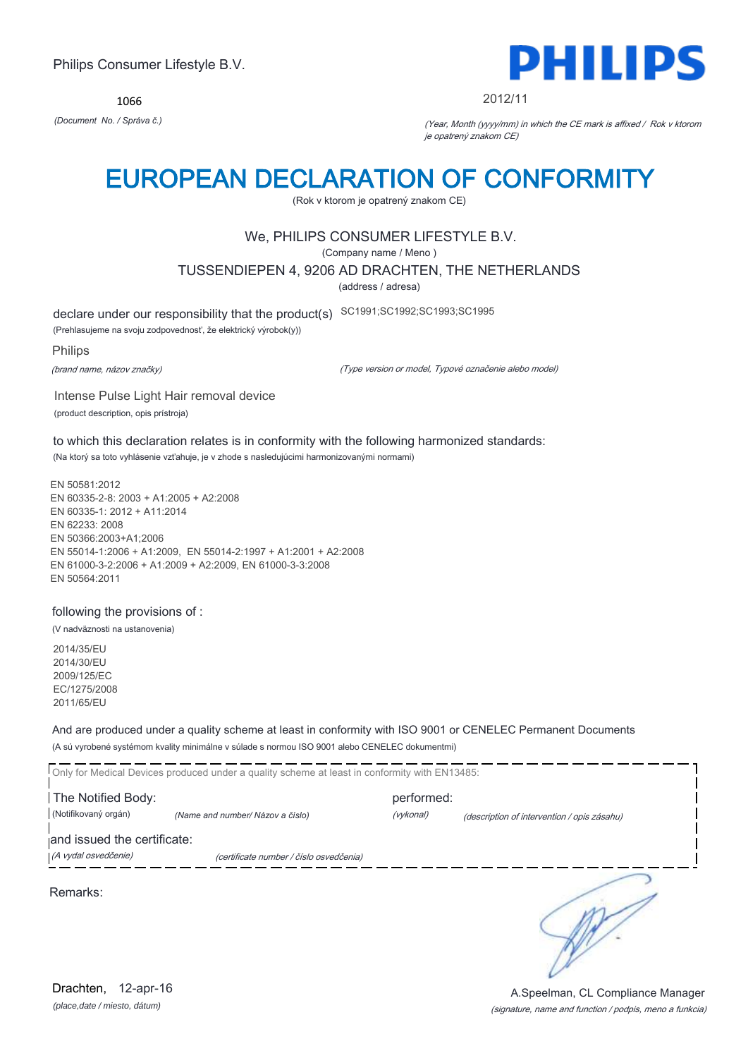1066



#### 2012/11

*(Document No. / Správa č.)* (Year, Month (yyyy/mm) in which the CE mark is affixed / Rok v ktorom je opatrený znakom CE)

## EUROPEAN DECLARATION OF CONFORMITY

(Rok v ktorom je opatrený znakom CE)

## We, PHILIPS CONSUMER LIFESTYLE B.V.

(Company name / Meno )

TUSSENDIEPEN 4, 9206 AD DRACHTEN, THE NETHERLANDS

(address / adresa)

declare under our responsibility that the product(s) SC1991;SC1992;SC1993;SC1995

(Prehlasujeme na svoju zodpovednosť, že elektrický výrobok(y))

Philips

(brand name, názov značky)

(Type version or model, Typové označenie alebo model)

Intense Pulse Light Hair removal device (product description, opis prístroja)

to which this declaration relates is in conformity with the following harmonized standards: (Na ktorý sa toto vyhlásenie vzťahuje, je v zhode s nasledujúcimi harmonizovanými normami)

EN 50581:2012 EN 60335-2-8: 2003 + A1:2005 + A2:2008 EN 60335-1: 2012 + A11:2014 EN 62233: 2008 EN 50366:2003+A1;2006 EN 55014-1:2006 + A1:2009, EN 55014-2:1997 + A1:2001 + A2:2008 EN 61000-3-2:2006 + A1:2009 + A2:2009, EN 61000-3-3:2008 EN 50564:2011

#### following the provisions of :

(V nadväznosti na ustanovenia)

2014/35/EU 2014/30/EU 2009/125/EC EC/1275/2008 2011/65/EU

And are produced under a quality scheme at least in conformity with ISO 9001 or CENELEC Permanent Documents (A sú vyrobené systémom kvality minimálne v súlade s normou ISO 9001 alebo CENELEC dokumentmi)

|                             | Only for Medical Devices produced under a quality scheme at least in conformity with EN13485: |            |                                             |
|-----------------------------|-----------------------------------------------------------------------------------------------|------------|---------------------------------------------|
| The Notified Body:          |                                                                                               | performed: |                                             |
| (Notifikovaný orgán)        | (Name and number/Názov a číslo)                                                               | (vykonal)  | (description of intervention / opis zásahu) |
| and issued the certificate: |                                                                                               |            |                                             |
| (A vydal osvedčenie)        | (certificate number / číslo osvedčenia)                                                       |            |                                             |
| Remarks:                    |                                                                                               |            |                                             |

*(place,date / miesto, dátum)* Drachten, 12-apr-16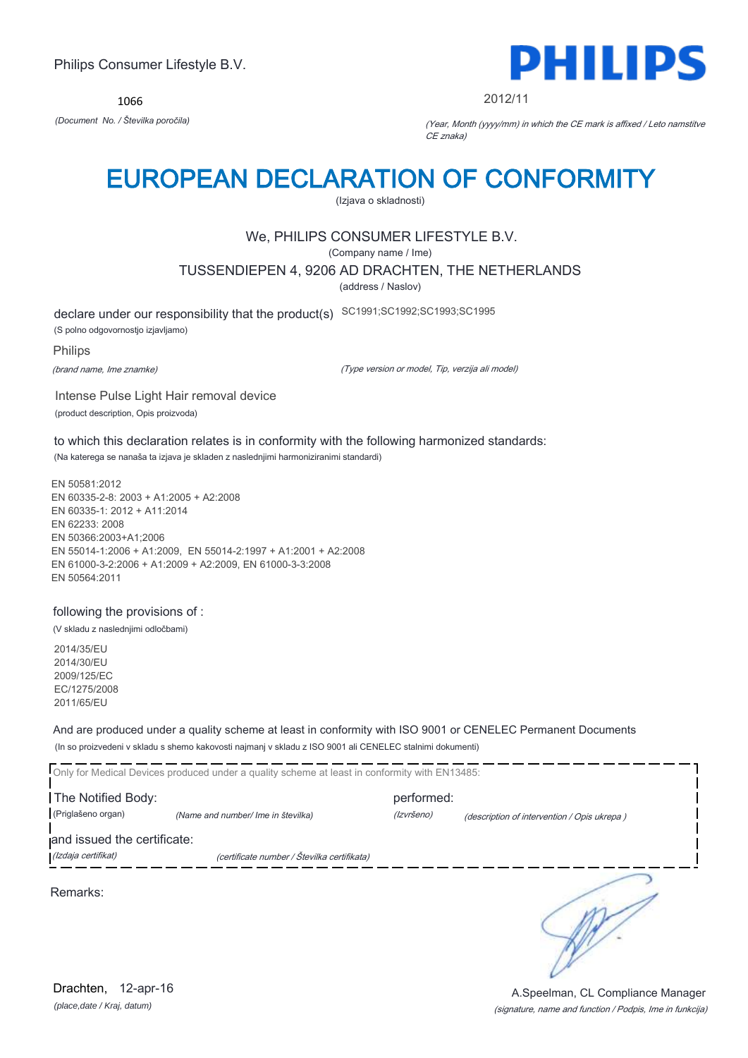1066



2012/11

*(Document No. / Številka poročila)* (Year, Month (yyyy/mm) in which the CE mark is affixed / Leto namstitve CE znaka)

## EUROPEAN DECLARATION OF CONFORMITY

(Izjava o skladnosti)

## We, PHILIPS CONSUMER LIFESTYLE B.V.

(Company name / Ime)

TUSSENDIEPEN 4, 9206 AD DRACHTEN, THE NETHERLANDS

(address / Naslov)

declare under our responsibility that the product(s) SC1991;SC1992;SC1993;SC1995 (S polno odgovornostjo izjavljamo)

Philips

(brand name, Ime znamke)

(Type version or model, Tip, verzija ali model)

Intense Pulse Light Hair removal device (product description, Opis proizvoda)

to which this declaration relates is in conformity with the following harmonized standards: (Na katerega se nanaša ta izjava je skladen z naslednjimi harmoniziranimi standardi)

EN 50581:2012 EN 60335-2-8: 2003 + A1:2005 + A2:2008 EN 60335-1: 2012 + A11:2014 EN 62233: 2008 EN 50366:2003+A1;2006 EN 55014-1:2006 + A1:2009, EN 55014-2:1997 + A1:2001 + A2:2008 EN 61000-3-2:2006 + A1:2009 + A2:2009, EN 61000-3-3:2008 EN 50564:2011

### following the provisions of :

(V skladu z naslednjimi odločbami)

2014/35/EU 2014/30/EU 2009/125/EC EC/1275/2008 2011/65/EU

And are produced under a quality scheme at least in conformity with ISO 9001 or CENELEC Permanent Documents (In so proizvedeni v skladu s shemo kakovosti najmanj v skladu z ISO 9001 ali CENELEC stalnimi dokumenti)

|                             | Only for Medical Devices produced under a quality scheme at least in conformity with EN13485: |            |                                             |  |
|-----------------------------|-----------------------------------------------------------------------------------------------|------------|---------------------------------------------|--|
| The Notified Body:          |                                                                                               | performed: |                                             |  |
| (Priglašeno organ)          | (Name and number/ Ime in številka)                                                            | (Izvršeno) | (description of intervention / Opis ukrepa) |  |
| and issued the certificate: |                                                                                               |            |                                             |  |
| (Izdaja certifikat)         | (certificate number / Številka certifikata)                                                   |            |                                             |  |
| Remarks:                    |                                                                                               |            |                                             |  |

*(place,date / Kraj, datum)* Drachten, 12-apr-16

(signature, name and function / Podpis, Ime in funkcija) A.Speelman, CL Compliance Manager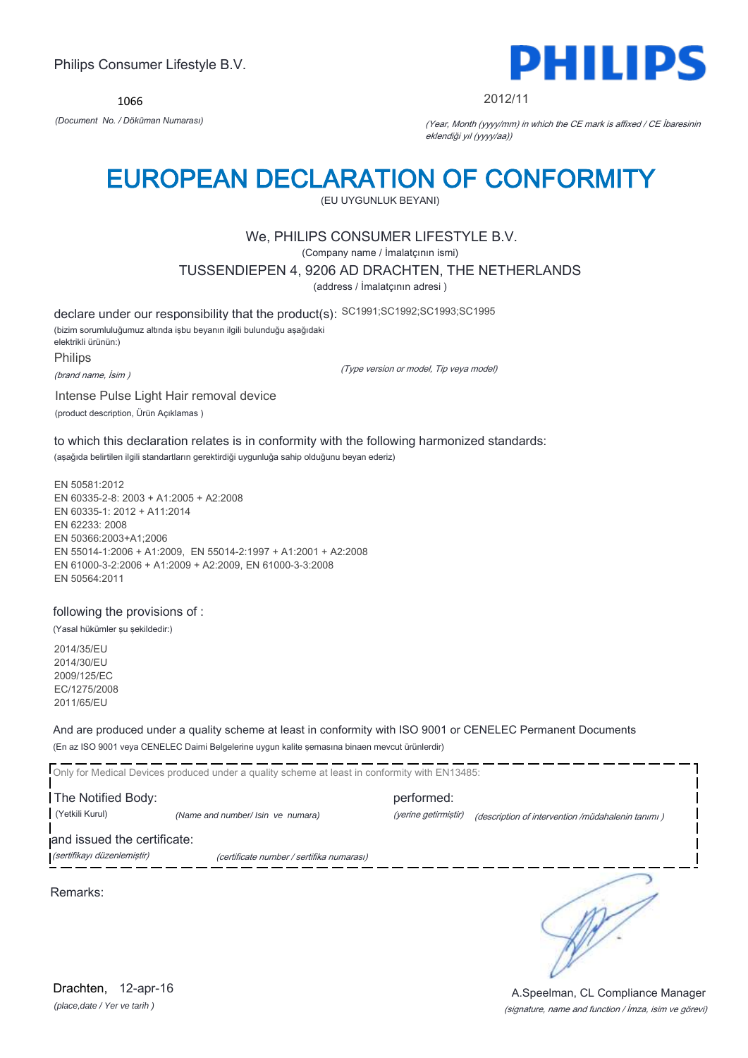1066



2012/11

*(Document No. / Döküman Numarası)* (Year, Month (yyyy/mm) in which the CE mark is affixed / CE İbaresinin eklendiği yıl (yyyy/aa))

## EUROPEAN DECLARATION OF CONFORMITY

(EU UYGUNLUK BEYANI)

## We, PHILIPS CONSUMER LIFESTYLE B.V.

(Company name / İmalatçının ismi)

TUSSENDIEPEN 4, 9206 AD DRACHTEN, THE NETHERLANDS

(address / İmalatçının adresi )

declare under our responsibility that the product(s): SC1991;SC1992;SC1993;SC1995 (bizim sorumluluğumuz altında işbu beyanın ilgili bulunduğu aşağıdaki elektrikli ürünün:) Philips

(brand name, İsim )

(Type version or model, Tip veya model)

Intense Pulse Light Hair removal device (product description, Ürün Açıklamas )

to which this declaration relates is in conformity with the following harmonized standards: (aşağıda belirtilen ilgili standartların gerektirdiği uygunluğa sahip olduğunu beyan ederiz)

EN 50581:2012 EN 60335-2-8: 2003 + A1:2005 + A2:2008 EN 60335-1: 2012 + A11:2014 EN 62233: 2008 EN 50366:2003+A1;2006 EN 55014-1:2006 + A1:2009, EN 55014-2:1997 + A1:2001 + A2:2008 EN 61000-3-2:2006 + A1:2009 + A2:2009, EN 61000-3-3:2008 EN 50564:2011

### following the provisions of :

(Yasal hükümler şu şekildedir:)

2014/35/EU 2014/30/EU 2009/125/EC EC/1275/2008 2011/65/EU

And are produced under a quality scheme at least in conformity with ISO 9001 or CENELEC Permanent Documents (En az ISO 9001 veya CENELEC Daimi Belgelerine uygun kalite şemasına binaen mevcut ürünlerdir)

Only for Medical Devices produced under a quality scheme at least in conformity with EN13485: **The Notified Body: performed:** performed: (Yetkili Kurul) *(Name and number/ Isin ve numara)* (yerine getirmiştir) (description of intervention /müdahalenin tanımı ) and issued the certificate: (sertifikayı düzenlemiştir) (certificate number / sertifika numarası) ∍

Remarks:

*(place,date / Yer ve tarih )* Drachten, 12-apr-16

(signature, name and function / İmza, isim ve görevi) A.Speelman, CL Compliance Manager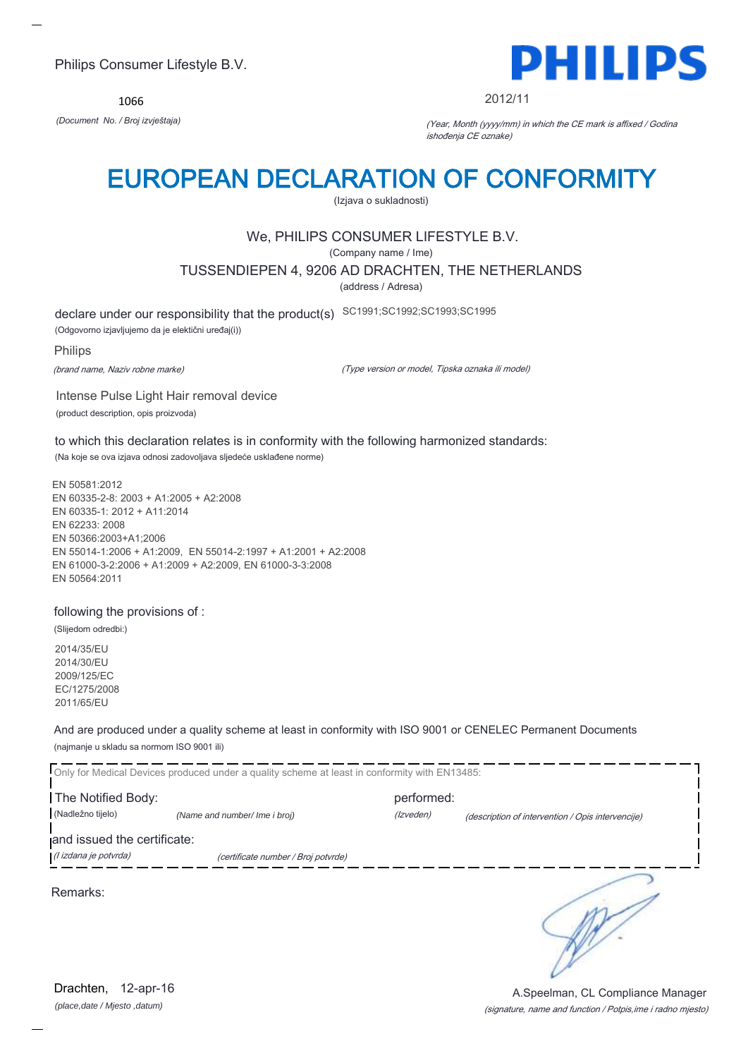1066



#### 2012/11

*(Document No. / Broj izvještaja)* (Year, Month (yyyy/mm) in which the CE mark is affixed / Godina ishođenja CE oznake)

## EUROPEAN DECLARATION OF CONFORMITY

(Izjava o sukladnosti)

## We, PHILIPS CONSUMER LIFESTYLE B.V.

(Company name / Ime)

TUSSENDIEPEN 4, 9206 AD DRACHTEN, THE NETHERLANDS

(address / Adresa)

declare under our responsibility that the product(s) SC1991;SC1992;SC1993;SC1995

(Odgovorno izjavljujemo da je elektični uređaj(i))

#### Philips

(brand name, Naziv robne marke)

(Type version or model, Tipska oznaka ili model)

Intense Pulse Light Hair removal device (product description, opis proizvoda)

to which this declaration relates is in conformity with the following harmonized standards: (Na koje se ova izjava odnosi zadovoljava sljedeće usklađene norme)

EN 50581:2012 EN 60335-2-8: 2003 + A1:2005 + A2:2008 EN 60335-1: 2012 + A11:2014 EN 62233: 2008 EN 50366:2003+A1;2006 EN 55014-1:2006 + A1:2009, EN 55014-2:1997 + A1:2001 + A2:2008 EN 61000-3-2:2006 + A1:2009 + A2:2009, EN 61000-3-3:2008 EN 50564:2011

### following the provisions of :

(Slijedom odredbi:)

2014/35/EU 2014/30/EU 2009/125/EC EC/1275/2008 2011/65/EU

And are produced under a quality scheme at least in conformity with ISO 9001 or CENELEC Permanent Documents (najmanje u skladu sa normom ISO 9001 ili)

Only for Medical Devices produced under a quality scheme at least in conformity with EN13485: **The Notified Body: performed:** performed: (Nadležno tijelo) *(Name and number/ Ime i broj) (Izveden) (Izveden) (description of intervention / Opis intervencije*) and issued the certificate: (I izdana je potvrda) (certificate number / Broj potvrde) ∍ Remarks:

*(place,date / Mjesto ,datum)* Drachten, 12-apr-16

(signature, name and function / Potpis,ime i radno mjesto) A.Speelman, CL Compliance Manager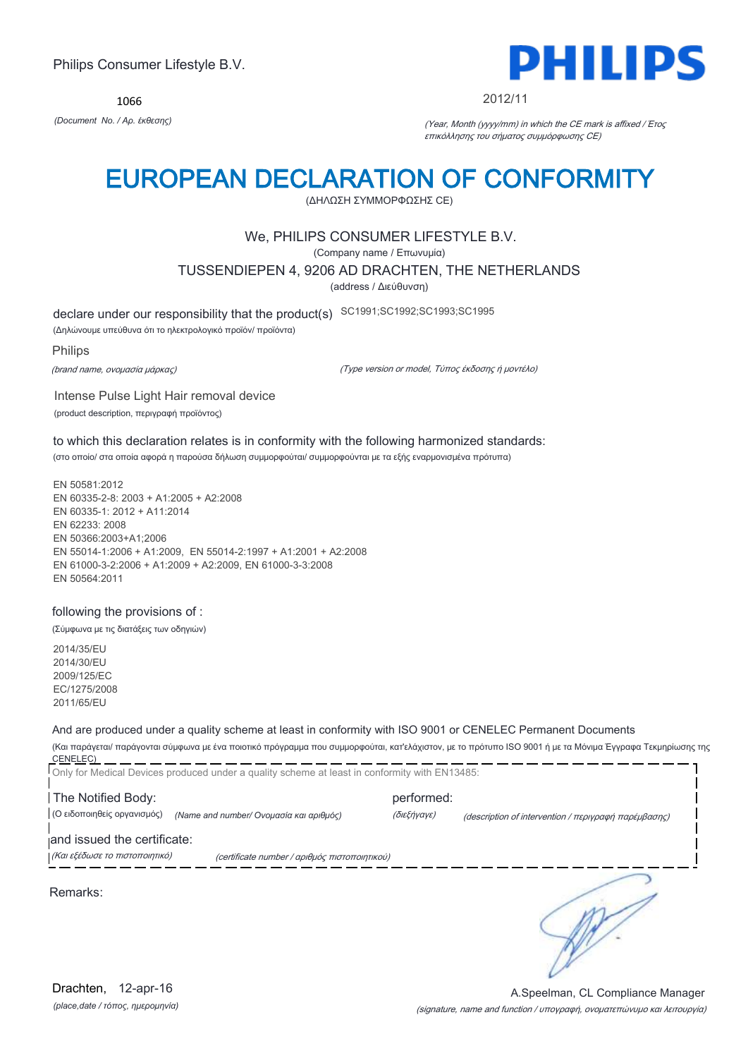1066



#### 2012/11

*(Document No. / Αρ. έκθεσης)* (Year, Month (yyyy/mm) in which the CE mark is affixed / Έτος επικόλλησης του σήματος συμμόρφωσης CE)

## EUROPEAN DECLARATION OF CONFORMITY

(ΔΗΛΩΣΗ ΣΥΜΜΟΡΦΩΣΗΣ CE)

### We, PHILIPS CONSUMER LIFESTYLE B.V.

(Company name / Επωνυμία)

TUSSENDIEPEN 4, 9206 AD DRACHTEN, THE NETHERLANDS

(address / Διεύθυνση)

declare under our responsibility that the product(s) SC1991;SC1992;SC1993;SC1995

(Δηλώνουμε υπεύθυνα ότι το ηλεκτρολογικό προϊόν/ προϊόντα)

#### Philips

(brand name, ονομασία μάρκας)

(Type version or model, Τύπος έκδοσης ή μοντέλο)

Intense Pulse Light Hair removal device (product description, περιγραφή προϊόντος)

to which this declaration relates is in conformity with the following harmonized standards: (στο οποίο/ στα οποία αφορά η παρούσα δήλωση συμμορφούται/ συμμορφούνται με τα εξής εναρμονισμένα πρότυπα)

EN 50581:2012 EN 60335-2-8: 2003 + A1:2005 + A2:2008 EN 60335-1: 2012 + A11:2014 EN 62233: 2008 EN 50366:2003+A1;2006 EN 55014-1:2006 + A1:2009, EN 55014-2:1997 + A1:2001 + A2:2008 EN 61000-3-2:2006 + A1:2009 + A2:2009, EN 61000-3-3:2008 EN 50564:2011

#### following the provisions of :

(Σύμφωνα με τις διατάξεις των οδηγιών)

2014/35/EU 2014/30/EU 2009/125/EC EC/1275/2008 2011/65/EU

## And are produced under a quality scheme at least in conformity with ISO 9001 or CENELEC Permanent Documents

(Και παράγεται/ παράγονται σύμφωνα με ένα ποιοτικό πρόγραμμα που συμμορφούται, κατ'ελάχιστον, με το πρότυπο ISO 9001 ή με τα Μόνιμα Έγγραφα Τεκμηρίωσης της CENELEC) 

| Only for Medical Devices produced under a quality scheme at least in conformity with EN13485: |                                                                     |
|-----------------------------------------------------------------------------------------------|---------------------------------------------------------------------|
| The Notified Body:                                                                            | performed:                                                          |
| (Ο ειδοποιηθείς οργανισμός)<br>(Name and number/ Ονομασία και αριθμός)                        | (διεξήγαγε)<br>(description of intervention / περιγραφή παρέμβασης) |
| and issued the certificate:                                                                   |                                                                     |
| (Και εξέδωσε το πιστοποιητικό)<br>(certificate number / αριθμός πιστοποιητικού)               |                                                                     |
| Remarks:                                                                                      |                                                                     |